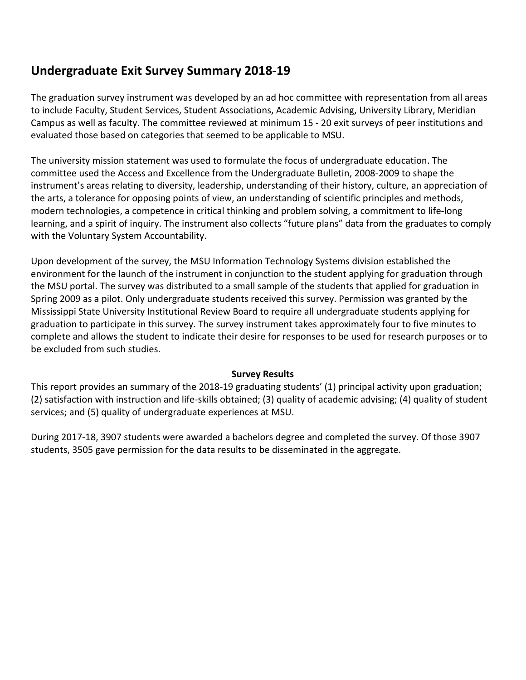# **Undergraduate Exit Survey Summary 2018-19**

The graduation survey instrument was developed by an ad hoc committee with representation from all areas to include Faculty, Student Services, Student Associations, Academic Advising, University Library, Meridian Campus as well as faculty. The committee reviewed at minimum 15 - 20 exit surveys of peer institutions and evaluated those based on categories that seemed to be applicable to MSU.

The university mission statement was used to formulate the focus of undergraduate education. The committee used the Access and Excellence from the Undergraduate Bulletin, 2008-2009 to shape the instrument's areas relating to diversity, leadership, understanding of their history, culture, an appreciation of the arts, a tolerance for opposing points of view, an understanding of scientific principles and methods, modern technologies, a competence in critical thinking and problem solving, a commitment to life-long learning, and a spirit of inquiry. The instrument also collects "future plans" data from the graduates to comply with the Voluntary System Accountability.

Upon development of the survey, the MSU Information Technology Systems division established the environment for the launch of the instrument in conjunction to the student applying for graduation through the MSU portal. The survey was distributed to a small sample of the students that applied for graduation in Spring 2009 as a pilot. Only undergraduate students received this survey. Permission was granted by the Mississippi State University Institutional Review Board to require all undergraduate students applying for graduation to participate in this survey. The survey instrument takes approximately four to five minutes to complete and allows the student to indicate their desire for responses to be used for research purposes or to be excluded from such studies.

## **Survey Results**

This report provides an summary of the 2018-19 graduating students' (1) principal activity upon graduation; (2) satisfaction with instruction and life-skills obtained; (3) quality of academic advising; (4) quality of student services; and (5) quality of undergraduate experiences at MSU.

During 2017-18, 3907 students were awarded a bachelors degree and completed the survey. Of those 3907 students, 3505 gave permission for the data results to be disseminated in the aggregate.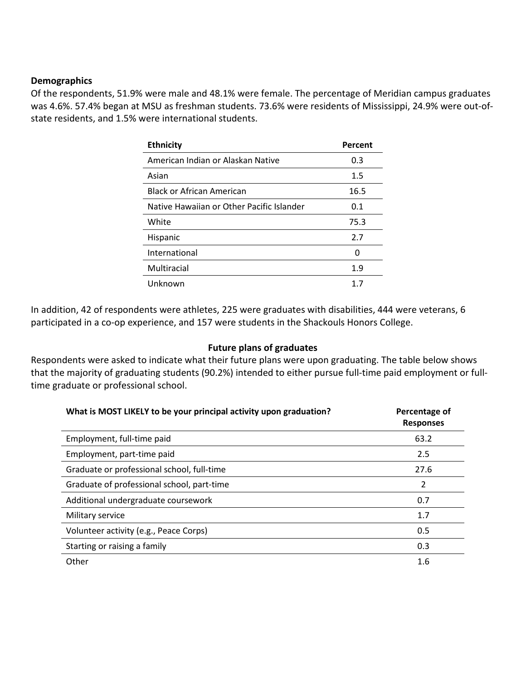#### **Demographics**

Of the respondents, 51.9% were male and 48.1% were female. The percentage of Meridian campus graduates was 4.6%. 57.4% began at MSU as freshman students. 73.6% were residents of Mississippi, 24.9% were out-ofstate residents, and 1.5% were international students.

| <b>Ethnicity</b>                          | Percent |
|-------------------------------------------|---------|
| American Indian or Alaskan Native         | 0.3     |
| Asian                                     | 1.5     |
| <b>Black or African American</b>          | 16.5    |
| Native Hawaiian or Other Pacific Islander | 0.1     |
| White                                     | 75.3    |
| Hispanic                                  | 2.7     |
| International                             | O       |
| Multiracial                               | 1.9     |
| Unknown                                   |         |

In addition, 42 of respondents were athletes, 225 were graduates with disabilities, 444 were veterans, 6 participated in a co-op experience, and 157 were students in the Shackouls Honors College.

#### **Future plans of graduates**

Respondents were asked to indicate what their future plans were upon graduating. The table below shows that the majority of graduating students (90.2%) intended to either pursue full-time paid employment or fulltime graduate or professional school.

| What is MOST LIKELY to be your principal activity upon graduation? | Percentage of<br><b>Responses</b> |
|--------------------------------------------------------------------|-----------------------------------|
| Employment, full-time paid                                         | 63.2                              |
| Employment, part-time paid                                         | 2.5                               |
| Graduate or professional school, full-time                         | 27.6                              |
| Graduate of professional school, part-time                         | 2                                 |
| Additional undergraduate coursework                                | 0.7                               |
| Military service                                                   | 1.7                               |
| Volunteer activity (e.g., Peace Corps)                             | 0.5                               |
| Starting or raising a family                                       | 0.3                               |
| Other                                                              | 1.6                               |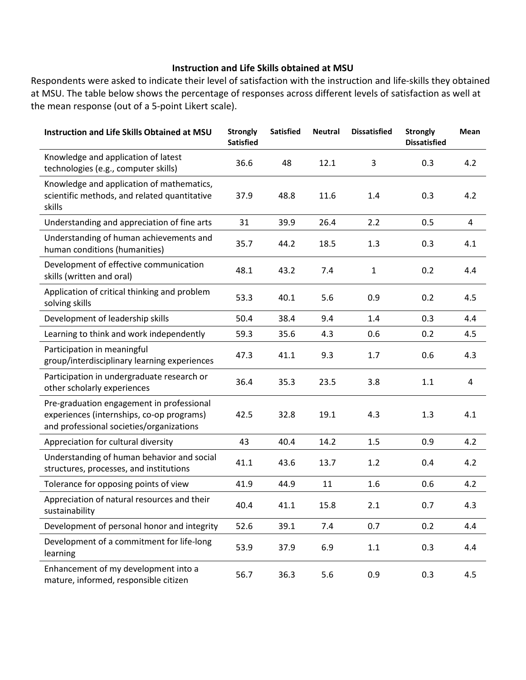## **Instruction and Life Skills obtained at MSU**

Respondents were asked to indicate their level of satisfaction with the instruction and life-skills they obtained at MSU. The table below shows the percentage of responses across different levels of satisfaction as well at the mean response (out of a 5-point Likert scale).

| <b>Instruction and Life Skills Obtained at MSU</b>                                                                                 | <b>Strongly</b><br><b>Satisfied</b> | <b>Satisfied</b> | <b>Neutral</b> | <b>Dissatisfied</b> | <b>Strongly</b><br><b>Dissatisfied</b> | Mean |
|------------------------------------------------------------------------------------------------------------------------------------|-------------------------------------|------------------|----------------|---------------------|----------------------------------------|------|
| Knowledge and application of latest<br>technologies (e.g., computer skills)                                                        | 36.6                                | 48               | 12.1           | 3                   | 0.3                                    | 4.2  |
| Knowledge and application of mathematics,<br>scientific methods, and related quantitative<br>skills                                | 37.9                                | 48.8             | 11.6           | 1.4                 | 0.3                                    | 4.2  |
| Understanding and appreciation of fine arts                                                                                        | 31                                  | 39.9             | 26.4           | 2.2                 | 0.5                                    | 4    |
| Understanding of human achievements and<br>human conditions (humanities)                                                           | 35.7                                | 44.2             | 18.5           | 1.3                 | 0.3                                    | 4.1  |
| Development of effective communication<br>skills (written and oral)                                                                | 48.1                                | 43.2             | 7.4            | $\mathbf{1}$        | 0.2                                    | 4.4  |
| Application of critical thinking and problem<br>solving skills                                                                     | 53.3                                | 40.1             | 5.6            | 0.9                 | 0.2                                    | 4.5  |
| Development of leadership skills                                                                                                   | 50.4                                | 38.4             | 9.4            | 1.4                 | 0.3                                    | 4.4  |
| Learning to think and work independently                                                                                           | 59.3                                | 35.6             | 4.3            | 0.6                 | 0.2                                    | 4.5  |
| Participation in meaningful<br>group/interdisciplinary learning experiences                                                        | 47.3                                | 41.1             | 9.3            | 1.7                 | 0.6                                    | 4.3  |
| Participation in undergraduate research or<br>other scholarly experiences                                                          | 36.4                                | 35.3             | 23.5           | 3.8                 | 1.1                                    | 4    |
| Pre-graduation engagement in professional<br>experiences (internships, co-op programs)<br>and professional societies/organizations | 42.5                                | 32.8             | 19.1           | 4.3                 | 1.3                                    | 4.1  |
| Appreciation for cultural diversity                                                                                                | 43                                  | 40.4             | 14.2           | 1.5                 | 0.9                                    | 4.2  |
| Understanding of human behavior and social<br>structures, processes, and institutions                                              | 41.1                                | 43.6             | 13.7           | 1.2                 | 0.4                                    | 4.2  |
| Tolerance for opposing points of view                                                                                              | 41.9                                | 44.9             | 11             | 1.6                 | 0.6                                    | 4.2  |
| Appreciation of natural resources and their<br>sustainability                                                                      | 40.4                                | 41.1             | 15.8           | 2.1                 | 0.7                                    | 4.3  |
| Development of personal honor and integrity                                                                                        | 52.6                                | 39.1             | 7.4            | 0.7                 | 0.2                                    | 4.4  |
| Development of a commitment for life-long<br>learning                                                                              | 53.9                                | 37.9             | 6.9            | $1.1\,$             | 0.3                                    | 4.4  |
| Enhancement of my development into a<br>mature, informed, responsible citizen                                                      | 56.7                                | 36.3             | 5.6            | 0.9                 | 0.3                                    | 4.5  |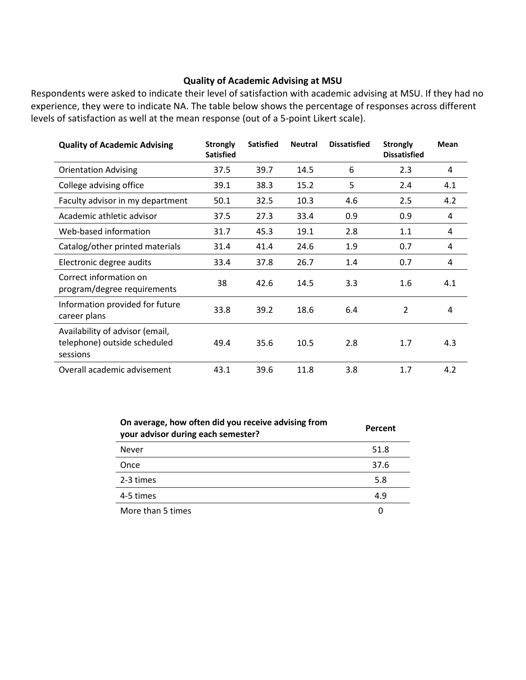#### **Quality of Academic Advising at MSU**

Respondents were asked to indicate their level of satisfaction with academic advising at MSU. If they had no experience, they were to indicate NA. The table below shows the percentage of responses across different levels of satisfaction as well at the mean response (out of a 5-point Likert scale).

| <b>Quality of Academic Advising</b>                                         | <b>Strongly</b><br><b>Satisfied</b> | <b>Satisfied</b> | <b>Neutral</b> | <b>Dissatisfied</b> | <b>Strongly</b><br><b>Dissatisfied</b> | <b>Mean</b> |
|-----------------------------------------------------------------------------|-------------------------------------|------------------|----------------|---------------------|----------------------------------------|-------------|
| <b>Orientation Advising</b>                                                 | 37.5                                | 39.7             | 14.5           | 6                   | 2.3                                    | 4           |
| College advising office                                                     | 39.1                                | 38.3             | 15.2           | 5                   | 2.4                                    | 4.1         |
| Faculty advisor in my department                                            | 50.1                                | 32.5             | 10.3           | 4.6                 | 2.5                                    | 4.2         |
| Academic athletic advisor                                                   | 37.5                                | 27.3             | 33.4           | 0.9                 | 0.9                                    | 4           |
| Web-based information                                                       | 31.7                                | 45.3             | 19.1           | 2.8                 | 1.1                                    | 4           |
| Catalog/other printed materials                                             | 31.4                                | 41.4             | 24.6           | 1.9                 | 0.7                                    | 4           |
| Electronic degree audits                                                    | 33.4                                | 37.8             | 26.7           | 1.4                 | 0.7                                    | 4           |
| Correct information on<br>program/degree requirements                       | 38                                  | 42.6             | 14.5           | 3.3                 | 1.6                                    | 4.1         |
| Information provided for future<br>career plans                             | 33.8                                | 39.2             | 18.6           | 6.4                 | $\overline{2}$                         | 4           |
| Availability of advisor (email,<br>telephone) outside scheduled<br>sessions | 49.4                                | 35.6             | 10.5           | 2.8                 | 1.7                                    | 4.3         |
| Overall academic advisement                                                 | 43.1                                | 39.6             | 11.8           | 3.8                 | 1.7                                    | 4.2         |

| On average, how often did you receive advising from<br>your advisor during each semester? | Percent |
|-------------------------------------------------------------------------------------------|---------|
| <b>Never</b>                                                                              | 51.8    |
| Once                                                                                      | 37.6    |
| 2-3 times                                                                                 | 5.8     |
| 4-5 times                                                                                 | 4.9     |
| More than 5 times                                                                         |         |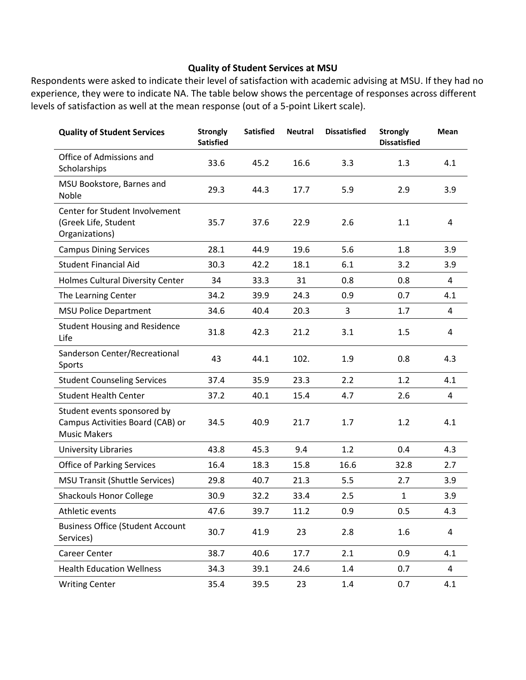## **Quality of Student Services at MSU**

Respondents were asked to indicate their level of satisfaction with academic advising at MSU. If they had no experience, they were to indicate NA. The table below shows the percentage of responses across different levels of satisfaction as well at the mean response (out of a 5-point Likert scale).

| <b>Quality of Student Services</b>                                                     | <b>Strongly</b><br><b>Satisfied</b> | <b>Satisfied</b> | <b>Neutral</b> | <b>Dissatisfied</b> | <b>Strongly</b><br><b>Dissatisfied</b> | Mean           |
|----------------------------------------------------------------------------------------|-------------------------------------|------------------|----------------|---------------------|----------------------------------------|----------------|
| Office of Admissions and<br>Scholarships                                               | 33.6                                | 45.2             | 16.6           | 3.3                 | 1.3                                    | 4.1            |
| MSU Bookstore, Barnes and<br>Noble                                                     | 29.3                                | 44.3             | 17.7           | 5.9                 | 2.9                                    | 3.9            |
| Center for Student Involvement<br>(Greek Life, Student<br>Organizations)               | 35.7                                | 37.6             | 22.9           | 2.6                 | 1.1                                    | 4              |
| <b>Campus Dining Services</b>                                                          | 28.1                                | 44.9             | 19.6           | 5.6                 | 1.8                                    | 3.9            |
| <b>Student Financial Aid</b>                                                           | 30.3                                | 42.2             | 18.1           | 6.1                 | 3.2                                    | 3.9            |
| Holmes Cultural Diversity Center                                                       | 34                                  | 33.3             | 31             | 0.8                 | 0.8                                    | 4              |
| The Learning Center                                                                    | 34.2                                | 39.9             | 24.3           | 0.9                 | 0.7                                    | 4.1            |
| <b>MSU Police Department</b>                                                           | 34.6                                | 40.4             | 20.3           | 3                   | 1.7                                    | 4              |
| <b>Student Housing and Residence</b><br>Life                                           | 31.8                                | 42.3             | 21.2           | 3.1                 | 1.5                                    | 4              |
| Sanderson Center/Recreational<br>Sports                                                | 43                                  | 44.1             | 102.           | 1.9                 | 0.8                                    | 4.3            |
| <b>Student Counseling Services</b>                                                     | 37.4                                | 35.9             | 23.3           | 2.2                 | 1.2                                    | 4.1            |
| <b>Student Health Center</b>                                                           | 37.2                                | 40.1             | 15.4           | 4.7                 | 2.6                                    | 4              |
| Student events sponsored by<br>Campus Activities Board (CAB) or<br><b>Music Makers</b> | 34.5                                | 40.9             | 21.7           | 1.7                 | 1.2                                    | 4.1            |
| <b>University Libraries</b>                                                            | 43.8                                | 45.3             | 9.4            | 1.2                 | 0.4                                    | 4.3            |
| <b>Office of Parking Services</b>                                                      | 16.4                                | 18.3             | 15.8           | 16.6                | 32.8                                   | 2.7            |
| <b>MSU Transit (Shuttle Services)</b>                                                  | 29.8                                | 40.7             | 21.3           | 5.5                 | 2.7                                    | 3.9            |
| <b>Shackouls Honor College</b>                                                         | 30.9                                | 32.2             | 33.4           | 2.5                 | $\mathbf{1}$                           | 3.9            |
| Athletic events                                                                        | 47.6                                | 39.7             | 11.2           | 0.9                 | 0.5                                    | 4.3            |
| <b>Business Office (Student Account</b><br>Services)                                   | 30.7                                | 41.9             | 23             | 2.8                 | 1.6                                    | 4              |
| Career Center                                                                          | 38.7                                | 40.6             | 17.7           | 2.1                 | 0.9                                    | 4.1            |
| <b>Health Education Wellness</b>                                                       | 34.3                                | 39.1             | 24.6           | 1.4                 | 0.7                                    | $\overline{a}$ |
| <b>Writing Center</b>                                                                  | 35.4                                | 39.5             | 23             | 1.4                 | 0.7                                    | 4.1            |